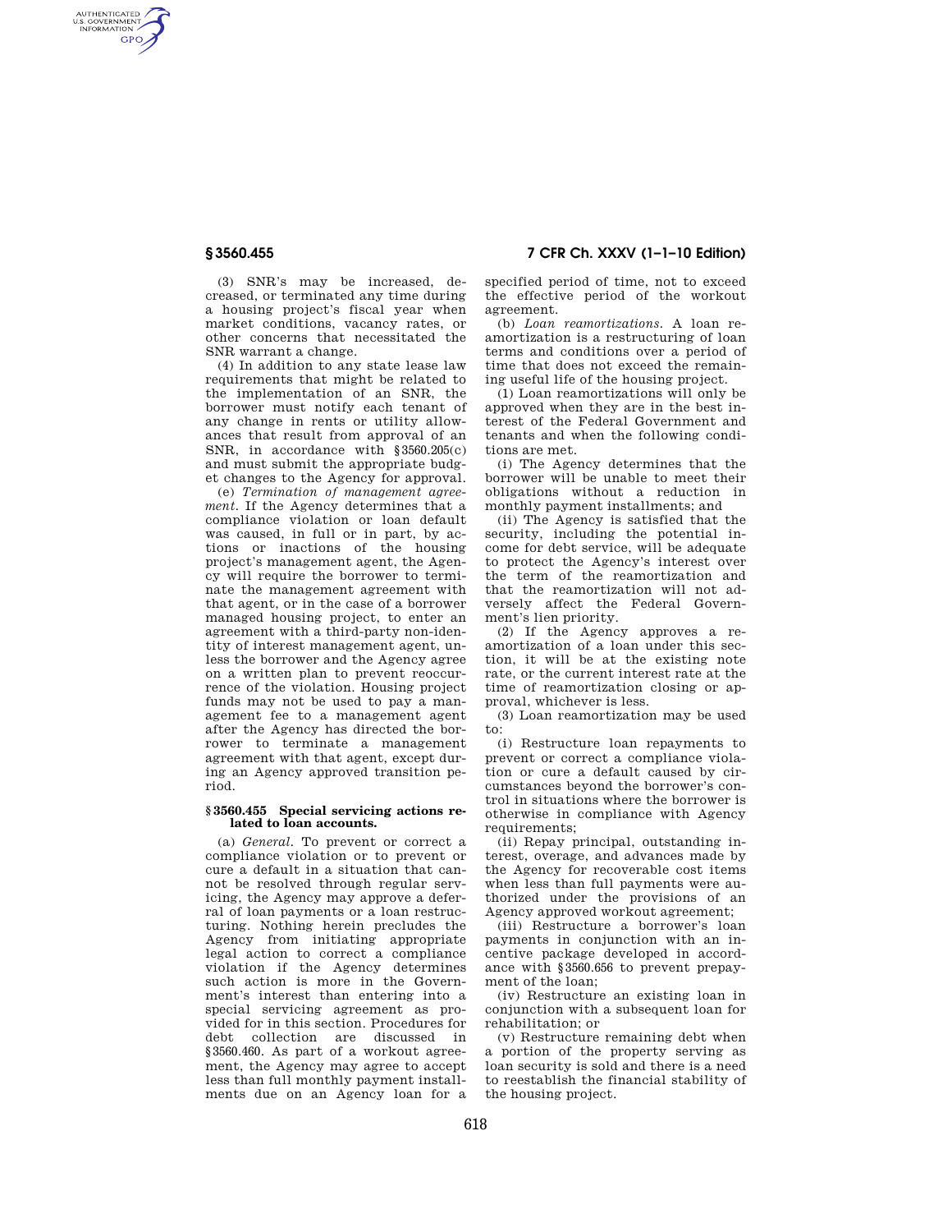AUTHENTICATED<br>U.S. GOVERNMENT<br>INFORMATION **GPO** 

**§ 3560.455 7 CFR Ch. XXXV (1–1–10 Edition)** 

(3) SNR's may be increased, decreased, or terminated any time during a housing project's fiscal year when market conditions, vacancy rates, or other concerns that necessitated the SNR warrant a change.

(4) In addition to any state lease law requirements that might be related to the implementation of an SNR, the borrower must notify each tenant of any change in rents or utility allowances that result from approval of an SNR, in accordance with §3560.205(c) and must submit the appropriate budget changes to the Agency for approval.

(e) *Termination of management agreement.* If the Agency determines that a compliance violation or loan default was caused, in full or in part, by actions or inactions of the housing project's management agent, the Agency will require the borrower to terminate the management agreement with that agent, or in the case of a borrower managed housing project, to enter an agreement with a third-party non-identity of interest management agent, unless the borrower and the Agency agree on a written plan to prevent reoccurrence of the violation. Housing project funds may not be used to pay a management fee to a management agent after the Agency has directed the borrower to terminate a management agreement with that agent, except during an Agency approved transition period.

## **§ 3560.455 Special servicing actions related to loan accounts.**

(a) *General.* To prevent or correct a compliance violation or to prevent or cure a default in a situation that cannot be resolved through regular servicing, the Agency may approve a deferral of loan payments or a loan restructuring. Nothing herein precludes the Agency from initiating appropriate legal action to correct a compliance violation if the Agency determines such action is more in the Government's interest than entering into a special servicing agreement as provided for in this section. Procedures for debt collection are discussed in §3560.460. As part of a workout agreement, the Agency may agree to accept less than full monthly payment installments due on an Agency loan for a

specified period of time, not to exceed the effective period of the workout agreement.

(b) *Loan reamortizations.* A loan reamortization is a restructuring of loan terms and conditions over a period of time that does not exceed the remaining useful life of the housing project.

(1) Loan reamortizations will only be approved when they are in the best interest of the Federal Government and tenants and when the following conditions are met.

(i) The Agency determines that the borrower will be unable to meet their obligations without a reduction in monthly payment installments; and

(ii) The Agency is satisfied that the security, including the potential income for debt service, will be adequate to protect the Agency's interest over the term of the reamortization and that the reamortization will not adversely affect the Federal Government's lien priority.

(2) If the Agency approves a reamortization of a loan under this section, it will be at the existing note rate, or the current interest rate at the time of reamortization closing or approval, whichever is less.

(3) Loan reamortization may be used to:

(i) Restructure loan repayments to prevent or correct a compliance violation or cure a default caused by circumstances beyond the borrower's control in situations where the borrower is otherwise in compliance with Agency requirements;

(ii) Repay principal, outstanding interest, overage, and advances made by the Agency for recoverable cost items when less than full payments were authorized under the provisions of an Agency approved workout agreement;

(iii) Restructure a borrower's loan payments in conjunction with an incentive package developed in accordance with §3560.656 to prevent prepayment of the loan;

(iv) Restructure an existing loan in conjunction with a subsequent loan for rehabilitation; or

(v) Restructure remaining debt when a portion of the property serving as loan security is sold and there is a need to reestablish the financial stability of the housing project.